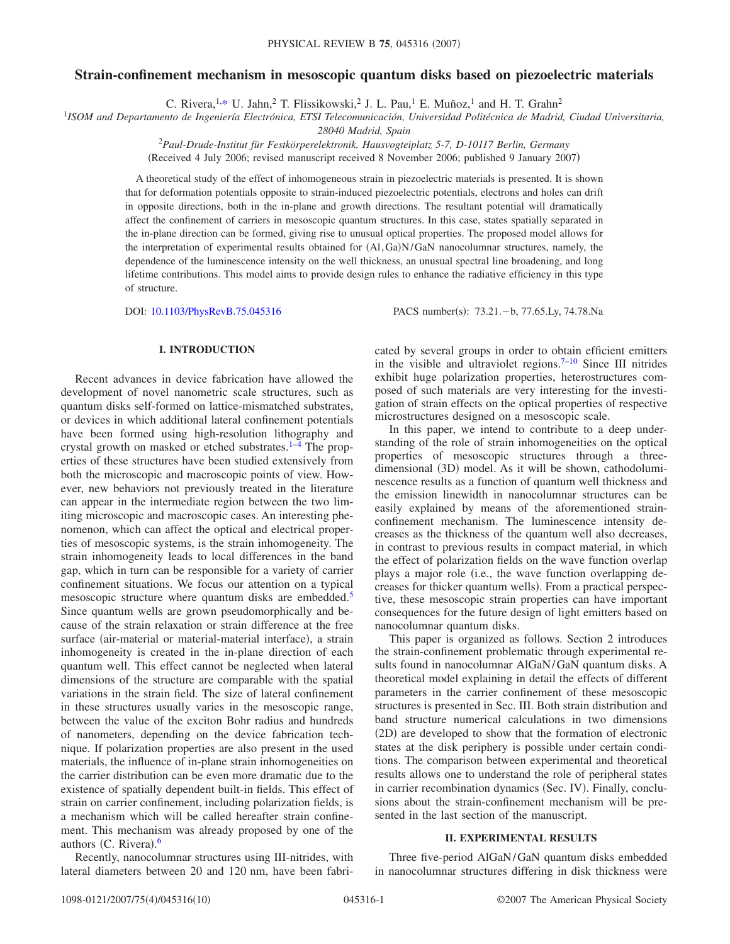# **Strain-confinement mechanism in mesoscopic quantum disks based on piezoelectric materials**

C. Rivera,<sup>1[,\\*](#page-9-0)</sup> U. Jahn,<sup>2</sup> T. Flissikowski,<sup>2</sup> J. L. Pau,<sup>1</sup> E. Muñoz,<sup>1</sup> and H. T. Grahn<sup>2</sup>

1 *ISOM and Departamento de Ingeniería Electrónica, ETSI Telecomunicación, Universidad Politécnica de Madrid, Ciudad Universitaria,*

*28040 Madrid, Spain*

2 *Paul-Drude-Institut für Festkörperelektronik, Hausvogteiplatz 5-7, D-10117 Berlin, Germany*

(Received 4 July 2006; revised manuscript received 8 November 2006; published 9 January 2007)

A theoretical study of the effect of inhomogeneous strain in piezoelectric materials is presented. It is shown that for deformation potentials opposite to strain-induced piezoelectric potentials, electrons and holes can drift in opposite directions, both in the in-plane and growth directions. The resultant potential will dramatically affect the confinement of carriers in mesoscopic quantum structures. In this case, states spatially separated in the in-plane direction can be formed, giving rise to unusual optical properties. The proposed model allows for the interpretation of experimental results obtained for  $(AI, Ga)N/GaN$  nanocolumnar structures, namely, the dependence of the luminescence intensity on the well thickness, an unusual spectral line broadening, and long lifetime contributions. This model aims to provide design rules to enhance the radiative efficiency in this type of structure.

DOI: [10.1103/PhysRevB.75.045316](http://dx.doi.org/10.1103/PhysRevB.75.045316)

PACS number(s): 73.21. - b, 77.65.Ly, 74.78.Na

## **I. INTRODUCTION**

Recent advances in device fabrication have allowed the development of novel nanometric scale structures, such as quantum disks self-formed on lattice-mismatched substrates, or devices in which additional lateral confinement potentials have been formed using high-resolution lithography and crystal growth on masked or etched substrates. $1-4$  $1-4$  The properties of these structures have been studied extensively from both the microscopic and macroscopic points of view. However, new behaviors not previously treated in the literature can appear in the intermediate region between the two limiting microscopic and macroscopic cases. An interesting phenomenon, which can affect the optical and electrical properties of mesoscopic systems, is the strain inhomogeneity. The strain inhomogeneity leads to local differences in the band gap, which in turn can be responsible for a variety of carrier confinement situations. We focus our attention on a typical mesoscopic structure where quantum disks are embedded.<sup>5</sup> Since quantum wells are grown pseudomorphically and because of the strain relaxation or strain difference at the free surface (air-material or material-material interface), a strain inhomogeneity is created in the in-plane direction of each quantum well. This effect cannot be neglected when lateral dimensions of the structure are comparable with the spatial variations in the strain field. The size of lateral confinement in these structures usually varies in the mesoscopic range, between the value of the exciton Bohr radius and hundreds of nanometers, depending on the device fabrication technique. If polarization properties are also present in the used materials, the influence of in-plane strain inhomogeneities on the carrier distribution can be even more dramatic due to the existence of spatially dependent built-in fields. This effect of strain on carrier confinement, including polarization fields, is a mechanism which will be called hereafter strain confinement. This mechanism was already proposed by one of the authors (C. Rivera). $<sup>6</sup>$  $<sup>6</sup>$  $<sup>6</sup>$ </sup>

Recently, nanocolumnar structures using III-nitrides, with lateral diameters between 20 and 120 nm, have been fabricated by several groups in order to obtain efficient emitters in the visible and ultraviolet regions.<sup> $7-10$  $7-10$ </sup> Since III nitrides exhibit huge polarization properties, heterostructures composed of such materials are very interesting for the investigation of strain effects on the optical properties of respective microstructures designed on a mesoscopic scale.

In this paper, we intend to contribute to a deep understanding of the role of strain inhomogeneities on the optical properties of mesoscopic structures through a threedimensional (3D) model. As it will be shown, cathodoluminescence results as a function of quantum well thickness and the emission linewidth in nanocolumnar structures can be easily explained by means of the aforementioned strainconfinement mechanism. The luminescence intensity decreases as the thickness of the quantum well also decreases, in contrast to previous results in compact material, in which the effect of polarization fields on the wave function overlap plays a major role (i.e., the wave function overlapping decreases for thicker quantum wells). From a practical perspective, these mesoscopic strain properties can have important consequences for the future design of light emitters based on nanocolumnar quantum disks.

This paper is organized as follows. Section 2 introduces the strain-confinement problematic through experimental results found in nanocolumnar AlGaN/GaN quantum disks. A theoretical model explaining in detail the effects of different parameters in the carrier confinement of these mesoscopic structures is presented in Sec. III. Both strain distribution and band structure numerical calculations in two dimensions (2D) are developed to show that the formation of electronic states at the disk periphery is possible under certain conditions. The comparison between experimental and theoretical results allows one to understand the role of peripheral states in carrier recombination dynamics (Sec. IV). Finally, conclusions about the strain-confinement mechanism will be presented in the last section of the manuscript.

## **II. EXPERIMENTAL RESULTS**

Three five-period AlGaN/GaN quantum disks embedded in nanocolumnar structures differing in disk thickness were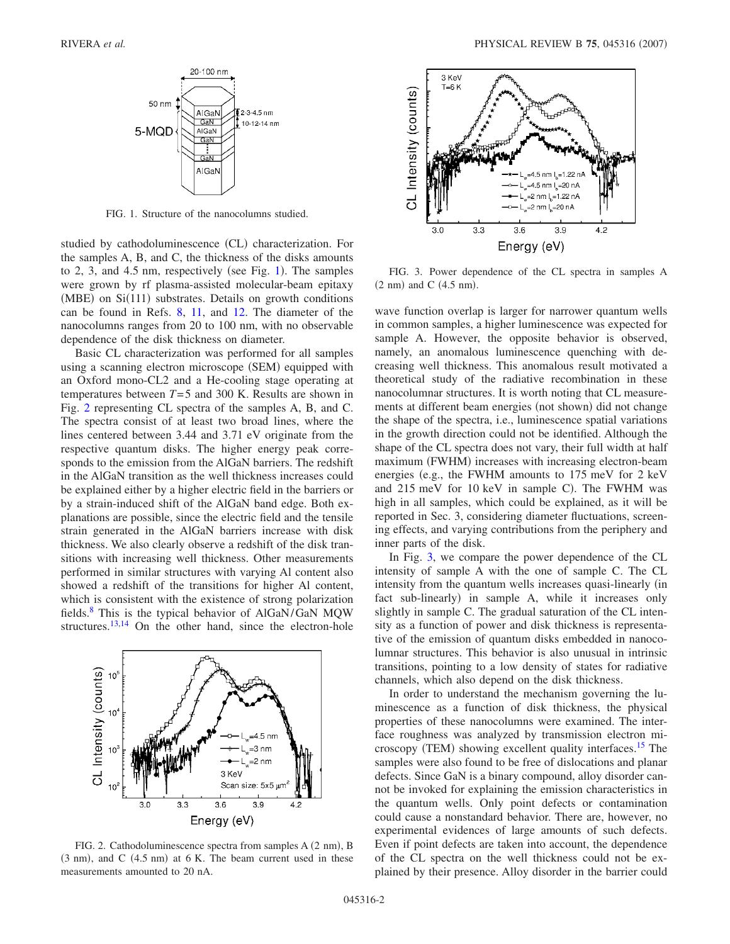<span id="page-1-0"></span>

FIG. 1. Structure of the nanocolumns studied.

studied by cathodoluminescence (CL) characterization. For the samples A, B, and C, the thickness of the disks amounts to 2, 3, and 4.5 nm, respectively (see Fig. [1](#page-1-0)). The samples were grown by rf plasma-assisted molecular-beam epitaxy (MBE) on Si(111) substrates. Details on growth conditions can be found in Refs. [8,](#page-9-7) [11,](#page-9-8) and [12.](#page-9-9) The diameter of the nanocolumns ranges from 20 to 100 nm, with no observable dependence of the disk thickness on diameter.

Basic CL characterization was performed for all samples using a scanning electron microscope (SEM) equipped with an Oxford mono-CL2 and a He-cooling stage operating at temperatures between *T*=5 and 300 K. Results are shown in Fig. [2](#page-1-1) representing CL spectra of the samples A, B, and C. The spectra consist of at least two broad lines, where the lines centered between 3.44 and 3.71 eV originate from the respective quantum disks. The higher energy peak corresponds to the emission from the AlGaN barriers. The redshift in the AlGaN transition as the well thickness increases could be explained either by a higher electric field in the barriers or by a strain-induced shift of the AlGaN band edge. Both explanations are possible, since the electric field and the tensile strain generated in the AlGaN barriers increase with disk thickness. We also clearly observe a redshift of the disk transitions with increasing well thickness. Other measurements performed in similar structures with varying Al content also showed a redshift of the transitions for higher Al content, which is consistent with the existence of strong polarization fields[.8](#page-9-7) This is the typical behavior of AlGaN/GaN MQW structures. $13,14$  $13,14$  On the other hand, since the electron-hole

<span id="page-1-1"></span>

FIG. 2. Cathodoluminescence spectra from samples A (2 nm), B  $(3 \text{ nm})$ , and C  $(4.5 \text{ nm})$  at 6 K. The beam current used in these measurements amounted to 20 nA.

<span id="page-1-2"></span>

FIG. 3. Power dependence of the CL spectra in samples A  $(2 \text{ nm})$  and C  $(4.5 \text{ nm})$ .

wave function overlap is larger for narrower quantum wells in common samples, a higher luminescence was expected for sample A. However, the opposite behavior is observed, namely, an anomalous luminescence quenching with decreasing well thickness. This anomalous result motivated a theoretical study of the radiative recombination in these nanocolumnar structures. It is worth noting that CL measurements at different beam energies (not shown) did not change the shape of the spectra, i.e., luminescence spatial variations in the growth direction could not be identified. Although the shape of the CL spectra does not vary, their full width at half maximum (FWHM) increases with increasing electron-beam energies (e.g., the FWHM amounts to  $175$  meV for  $2 \text{ keV}$ and 215 meV for 10 keV in sample C). The FWHM was high in all samples, which could be explained, as it will be reported in Sec. 3, considering diameter fluctuations, screening effects, and varying contributions from the periphery and inner parts of the disk.

In Fig. [3,](#page-1-2) we compare the power dependence of the CL intensity of sample A with the one of sample C. The CL intensity from the quantum wells increases quasi-linearly (in fact sub-linearly) in sample A, while it increases only slightly in sample C. The gradual saturation of the CL intensity as a function of power and disk thickness is representative of the emission of quantum disks embedded in nanocolumnar structures. This behavior is also unusual in intrinsic transitions, pointing to a low density of states for radiative channels, which also depend on the disk thickness.

In order to understand the mechanism governing the luminescence as a function of disk thickness, the physical properties of these nanocolumns were examined. The interface roughness was analyzed by transmission electron microscopy (TEM) showing excellent quality interfaces.<sup>15</sup> The samples were also found to be free of dislocations and planar defects. Since GaN is a binary compound, alloy disorder cannot be invoked for explaining the emission characteristics in the quantum wells. Only point defects or contamination could cause a nonstandard behavior. There are, however, no experimental evidences of large amounts of such defects. Even if point defects are taken into account, the dependence of the CL spectra on the well thickness could not be explained by their presence. Alloy disorder in the barrier could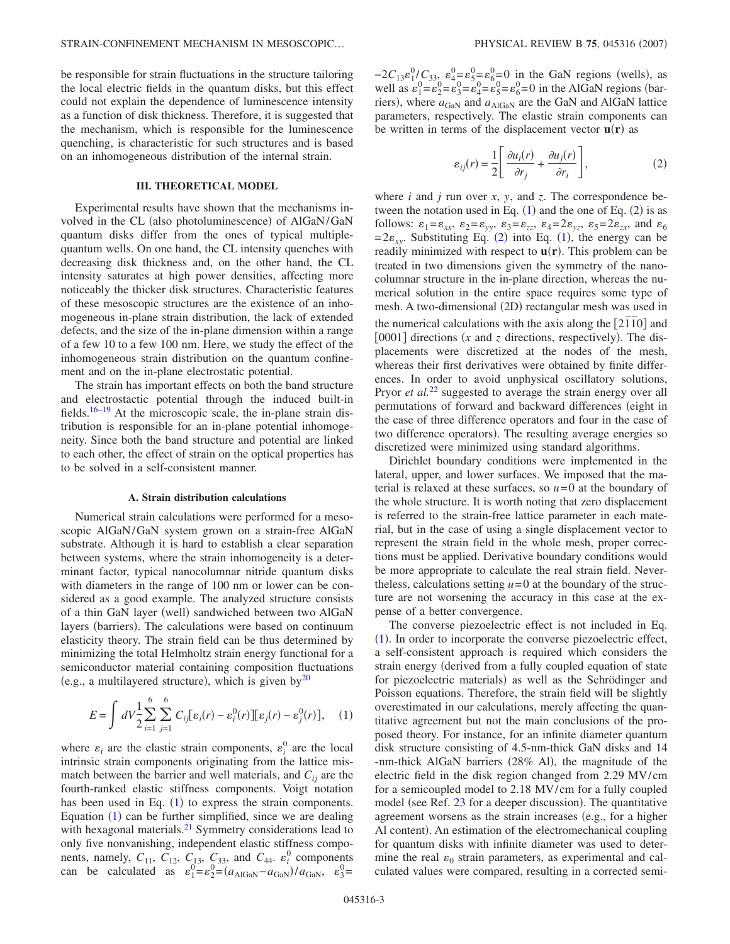be responsible for strain fluctuations in the structure tailoring the local electric fields in the quantum disks, but this effect could not explain the dependence of luminescence intensity as a function of disk thickness. Therefore, it is suggested that the mechanism, which is responsible for the luminescence quenching, is characteristic for such structures and is based on an inhomogeneous distribution of the internal strain.

#### **III. THEORETICAL MODEL**

Experimental results have shown that the mechanisms involved in the CL (also photoluminescence) of AlGaN/GaN quantum disks differ from the ones of typical multiplequantum wells. On one hand, the CL intensity quenches with decreasing disk thickness and, on the other hand, the CL intensity saturates at high power densities, affecting more noticeably the thicker disk structures. Characteristic features of these mesoscopic structures are the existence of an inhomogeneous in-plane strain distribution, the lack of extended defects, and the size of the in-plane dimension within a range of a few 10 to a few 100 nm. Here, we study the effect of the inhomogeneous strain distribution on the quantum confinement and on the in-plane electrostatic potential.

The strain has important effects on both the band structure and electrostactic potential through the induced built-in fields.<sup>16[–19](#page-9-14)</sup> At the microscopic scale, the in-plane strain distribution is responsible for an in-plane potential inhomogeneity. Since both the band structure and potential are linked to each other, the effect of strain on the optical properties has to be solved in a self-consistent manner.

#### **A. Strain distribution calculations**

Numerical strain calculations were performed for a mesoscopic AlGaN/GaN system grown on a strain-free AlGaN substrate. Although it is hard to establish a clear separation between systems, where the strain inhomogeneity is a determinant factor, typical nanocolumnar nitride quantum disks with diameters in the range of 100 nm or lower can be considered as a good example. The analyzed structure consists of a thin GaN layer (well) sandwiched between two AlGaN layers (barriers). The calculations were based on continuum elasticity theory. The strain field can be thus determined by minimizing the total Helmholtz strain energy functional for a semiconductor material containing composition fluctuations (e.g., a multilayered structure), which is given by $^{20}$ 

<span id="page-2-0"></span>
$$
E = \int dV \frac{1}{2} \sum_{i=1}^{6} \sum_{j=1}^{6} C_{ij} [\varepsilon_i(r) - \varepsilon_i^0(r)][\varepsilon_j(r) - \varepsilon_j^0(r)], \quad (1)
$$

where  $\varepsilon_i$  are the elastic strain components,  $\varepsilon_i^0$  are the local intrinsic strain components originating from the lattice mismatch between the barrier and well materials, and  $C_{ii}$  are the fourth-ranked elastic stiffness components. Voigt notation has been used in Eq.  $(1)$  $(1)$  $(1)$  to express the strain components. Equation  $(1)$  $(1)$  $(1)$  can be further simplified, since we are dealing with hexagonal materials.<sup>21</sup> Symmetry considerations lead to only five nonvanishing, independent elastic stiffness components, namely,  $C_{11}$ ,  $C_{12}$ ,  $C_{13}$ ,  $C_{33}$ , and  $C_{44}$ .  $\varepsilon_i^0$  components can be calculated as  $\varepsilon_1^0 = \varepsilon_2^0 = (a_{\text{AlGaN}} - a_{\text{GaN}})/a_{\text{GaN}}$ ,  $\varepsilon_3^0 =$ 

 $-2C_{13}\epsilon_1^0/C_{33}$ ,  $\epsilon_4^0 = \epsilon_5^0 = \epsilon_6^0 = 0$  in the GaN regions (wells), as well as  $\varepsilon_1^0 = \varepsilon_2^0 = \varepsilon_3^0 = \varepsilon_4^0 = \varepsilon_5^0 = \varepsilon_6^0 = 0$  in the AlGaN regions (barriers), where  $a_{\text{GaN}}$  and  $a_{\text{AlGaN}}$  are the GaN and AlGaN lattice parameters, respectively. The elastic strain components can be written in terms of the displacement vector  $\mathbf{u}(\mathbf{r})$  as

$$
\varepsilon_{ij}(r) = \frac{1}{2} \left[ \frac{\partial u_i(r)}{\partial r_j} + \frac{\partial u_j(r)}{\partial r_i} \right],\tag{2}
$$

<span id="page-2-1"></span>where *i* and *j* run over *x*, *y*, and *z*. The correspondence between the notation used in Eq.  $(1)$  $(1)$  $(1)$  and the one of Eq.  $(2)$  $(2)$  $(2)$  is as follows:  $\varepsilon_1 = \varepsilon_{xx}$ ,  $\varepsilon_2 = \varepsilon_{yy}$ ,  $\varepsilon_3 = \varepsilon_{zz}$ ,  $\varepsilon_4 = 2\varepsilon_{yz}$ ,  $\varepsilon_5 = 2\varepsilon_{zx}$ , and  $\varepsilon_6$  $=2\varepsilon_{xy}$  $=2\varepsilon_{xy}$  $=2\varepsilon_{xy}$ . Substituting Eq. (2) into Eq. ([1](#page-2-0)), the energy can be readily minimized with respect to  $u(r)$ . This problem can be treated in two dimensions given the symmetry of the nanocolumnar structure in the in-plane direction, whereas the numerical solution in the entire space requires some type of mesh. A two-dimensional (2D) rectangular mesh was used in the numerical calculations with the axis along the  $[2\overline{1}\overline{1}0]$  and [0001] directions  $(x \text{ and } z \text{ directions, respectively})$ . The displacements were discretized at the nodes of the mesh, whereas their first derivatives were obtained by finite differences. In order to avoid unphysical oscillatory solutions, Pryor *et al.*<sup>[22](#page-9-17)</sup> suggested to average the strain energy over all permutations of forward and backward differences (eight in the case of three difference operators and four in the case of two difference operators). The resulting average energies so discretized were minimized using standard algorithms.

Dirichlet boundary conditions were implemented in the lateral, upper, and lower surfaces. We imposed that the material is relaxed at these surfaces, so  $u=0$  at the boundary of the whole structure. It is worth noting that zero displacement is referred to the strain-free lattice parameter in each material, but in the case of using a single displacement vector to represent the strain field in the whole mesh, proper corrections must be applied. Derivative boundary conditions would be more appropriate to calculate the real strain field. Nevertheless, calculations setting  $u=0$  at the boundary of the structure are not worsening the accuracy in this case at the expense of a better convergence.

The converse piezoelectric effect is not included in Eq. ([1](#page-2-0)). In order to incorporate the converse piezoelectric effect, a self-consistent approach is required which considers the strain energy derived from a fully coupled equation of state for piezoelectric materials) as well as the Schrödinger and Poisson equations. Therefore, the strain field will be slightly overestimated in our calculations, merely affecting the quantitative agreement but not the main conclusions of the proposed theory. For instance, for an infinite diameter quantum disk structure consisting of 4.5-nm-thick GaN disks and 14 -nm-thick AlGaN barriers (28% Al), the magnitude of the electric field in the disk region changed from 2.29 MV/cm for a semicoupled model to 2.18 MV/cm for a fully coupled model (see Ref. [23](#page-9-18) for a deeper discussion). The quantitative agreement worsens as the strain increases (e.g., for a higher Al content). An estimation of the electromechanical coupling for quantum disks with infinite diameter was used to determine the real  $\varepsilon_0$  strain parameters, as experimental and calculated values were compared, resulting in a corrected semi-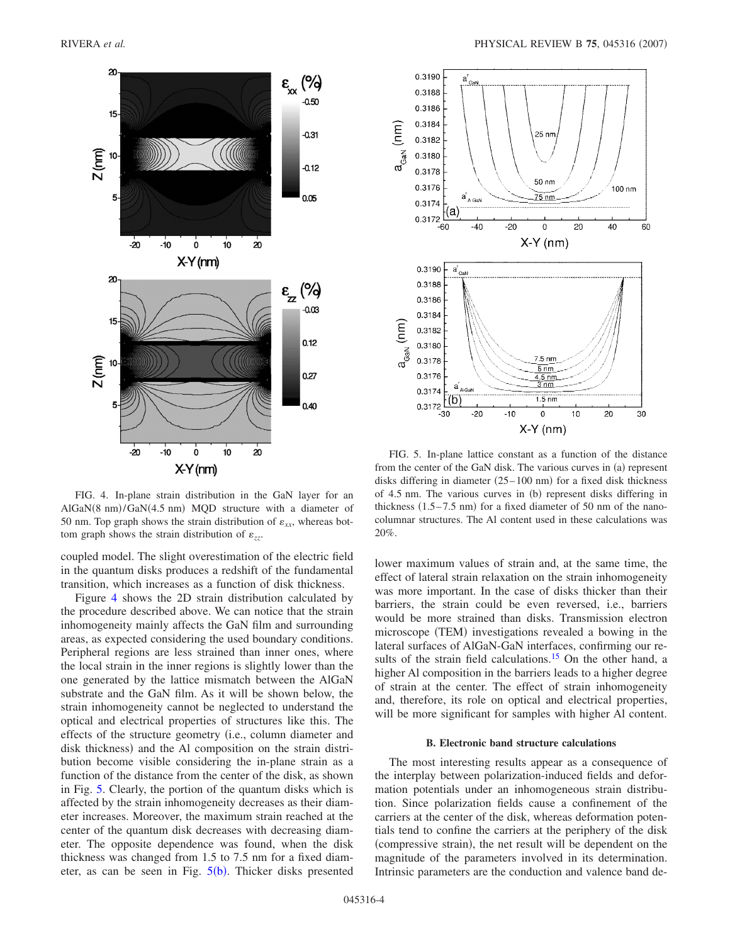<span id="page-3-0"></span>

FIG. 4. In-plane strain distribution in the GaN layer for an AlGaN(8 nm)/GaN(4.5 nm) MQD structure with a diameter of 50 nm. Top graph shows the strain distribution of  $\varepsilon_{xx}$ , whereas bottom graph shows the strain distribution of  $\varepsilon_{zz}$ .

coupled model. The slight overestimation of the electric field in the quantum disks produces a redshift of the fundamental transition, which increases as a function of disk thickness.

Figure [4](#page-3-0) shows the 2D strain distribution calculated by the procedure described above. We can notice that the strain inhomogeneity mainly affects the GaN film and surrounding areas, as expected considering the used boundary conditions. Peripheral regions are less strained than inner ones, where the local strain in the inner regions is slightly lower than the one generated by the lattice mismatch between the AlGaN substrate and the GaN film. As it will be shown below, the strain inhomogeneity cannot be neglected to understand the optical and electrical properties of structures like this. The effects of the structure geometry (i.e., column diameter and disk thickness) and the Al composition on the strain distribution become visible considering the in-plane strain as a function of the distance from the center of the disk, as shown in Fig. [5.](#page-3-1) Clearly, the portion of the quantum disks which is affected by the strain inhomogeneity decreases as their diameter increases. Moreover, the maximum strain reached at the center of the quantum disk decreases with decreasing diameter. The opposite dependence was found, when the disk thickness was changed from 1.5 to 7.5 nm for a fixed diameter, as can be seen in Fig.  $5(b)$  $5(b)$ . Thicker disks presented

<span id="page-3-1"></span>

FIG. 5. In-plane lattice constant as a function of the distance from the center of the GaN disk. The various curves in (a) represent disks differing in diameter  $(25-100)$  nm) for a fixed disk thickness of 4.5 nm. The various curves in (b) represent disks differing in thickness  $(1.5-7.5 \text{ nm})$  for a fixed diameter of 50 nm of the nanocolumnar structures. The Al content used in these calculations was 20%.

lower maximum values of strain and, at the same time, the effect of lateral strain relaxation on the strain inhomogeneity was more important. In the case of disks thicker than their barriers, the strain could be even reversed, i.e., barriers would be more strained than disks. Transmission electron microscope (TEM) investigations revealed a bowing in the lateral surfaces of AlGaN-GaN interfaces, confirming our results of the strain field calculations.<sup>15</sup> On the other hand, a higher Al composition in the barriers leads to a higher degree of strain at the center. The effect of strain inhomogeneity and, therefore, its role on optical and electrical properties, will be more significant for samples with higher Al content.

#### **B. Electronic band structure calculations**

The most interesting results appear as a consequence of the interplay between polarization-induced fields and deformation potentials under an inhomogeneous strain distribution. Since polarization fields cause a confinement of the carriers at the center of the disk, whereas deformation potentials tend to confine the carriers at the periphery of the disk (compressive strain), the net result will be dependent on the magnitude of the parameters involved in its determination. Intrinsic parameters are the conduction and valence band de-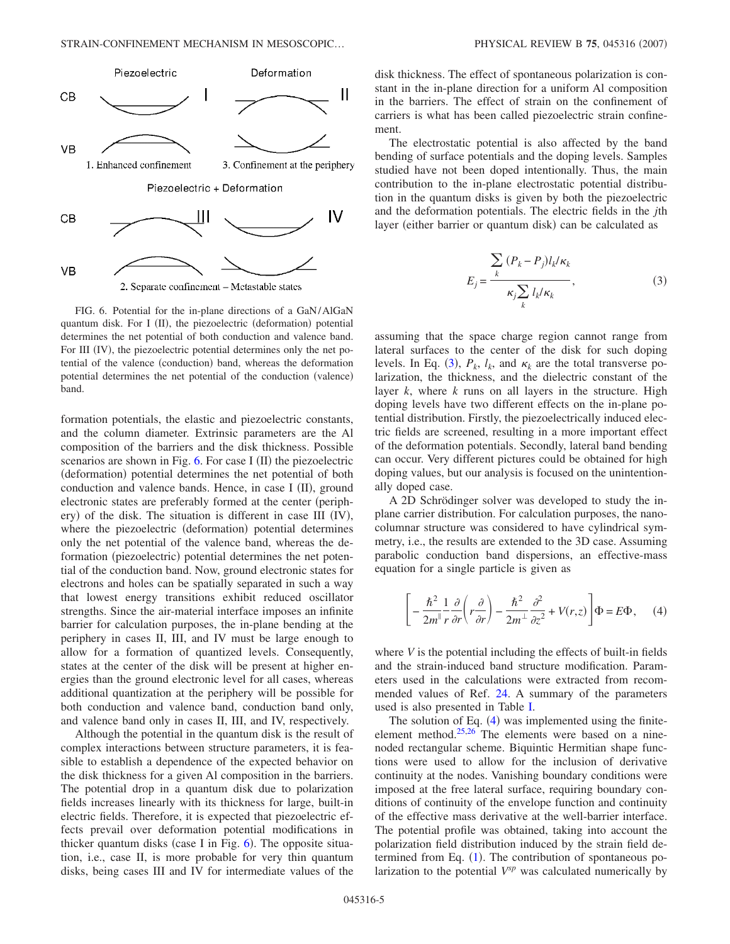<span id="page-4-0"></span>

2. Separate confinement - Metastable states

FIG. 6. Potential for the in-plane directions of a GaN/AlGaN quantum disk. For I (II), the piezoelectric (deformation) potential determines the net potential of both conduction and valence band. For III (IV), the piezoelectric potential determines only the net potential of the valence (conduction) band, whereas the deformation potential determines the net potential of the conduction (valence) band.

formation potentials, the elastic and piezoelectric constants, and the column diameter. Extrinsic parameters are the Al composition of the barriers and the disk thickness. Possible scenarios are shown in Fig.  $6$ . For case I (II) the piezoelectric (deformation) potential determines the net potential of both conduction and valence bands. Hence, in case I (II), ground electronic states are preferably formed at the center (periphery) of the disk. The situation is different in case III (IV), where the piezoelectric (deformation) potential determines only the net potential of the valence band, whereas the deformation (piezoelectric) potential determines the net potential of the conduction band. Now, ground electronic states for electrons and holes can be spatially separated in such a way that lowest energy transitions exhibit reduced oscillator strengths. Since the air-material interface imposes an infinite barrier for calculation purposes, the in-plane bending at the periphery in cases II, III, and IV must be large enough to allow for a formation of quantized levels. Consequently, states at the center of the disk will be present at higher energies than the ground electronic level for all cases, whereas additional quantization at the periphery will be possible for both conduction and valence band, conduction band only, and valence band only in cases II, III, and IV, respectively.

Although the potential in the quantum disk is the result of complex interactions between structure parameters, it is feasible to establish a dependence of the expected behavior on the disk thickness for a given Al composition in the barriers. The potential drop in a quantum disk due to polarization fields increases linearly with its thickness for large, built-in electric fields. Therefore, it is expected that piezoelectric effects prevail over deformation potential modifications in thicker quantum disks (case I in Fig. [6](#page-4-0)). The opposite situation, i.e., case II, is more probable for very thin quantum disks, being cases III and IV for intermediate values of the disk thickness. The effect of spontaneous polarization is constant in the in-plane direction for a uniform Al composition in the barriers. The effect of strain on the confinement of carriers is what has been called piezoelectric strain confinement.

The electrostatic potential is also affected by the band bending of surface potentials and the doping levels. Samples studied have not been doped intentionally. Thus, the main contribution to the in-plane electrostatic potential distribution in the quantum disks is given by both the piezoelectric and the deformation potentials. The electric fields in the *j*th layer (either barrier or quantum disk) can be calculated as

$$
E_j = \frac{\sum_{k} (P_k - P_j) l_k / \kappa_k}{\kappa_j \sum_{k} l_k / \kappa_k},
$$
\n(3)

<span id="page-4-1"></span>assuming that the space charge region cannot range from lateral surfaces to the center of the disk for such doping levels. In Eq. ([3](#page-4-1)),  $P_k$ ,  $l_k$ , and  $\kappa_k$  are the total transverse polarization, the thickness, and the dielectric constant of the layer *k*, where *k* runs on all layers in the structure. High doping levels have two different effects on the in-plane potential distribution. Firstly, the piezoelectrically induced electric fields are screened, resulting in a more important effect of the deformation potentials. Secondly, lateral band bending can occur. Very different pictures could be obtained for high doping values, but our analysis is focused on the unintentionally doped case.

A 2D Schrödinger solver was developed to study the inplane carrier distribution. For calculation purposes, the nanocolumnar structure was considered to have cylindrical symmetry, i.e., the results are extended to the 3D case. Assuming parabolic conduction band dispersions, an effective-mass equation for a single particle is given as

<span id="page-4-2"></span>
$$
\left[ -\frac{\hbar^2}{2m^{\parallel}} \frac{1}{r} \frac{\partial}{\partial r} \left( r \frac{\partial}{\partial r} \right) - \frac{\hbar^2}{2m^{\perp}} \frac{\partial^2}{\partial z^2} + V(r, z) \right] \Phi = E \Phi, \quad (4)
$$

where *V* is the potential including the effects of built-in fields and the strain-induced band structure modification. Parameters used in the calculations were extracted from recommended values of Ref. [24.](#page-9-19) A summary of the parameters used is also presented in Table [I.](#page-5-0)

The solution of Eq. ([4](#page-4-2)) was implemented using the finiteelement method[.25](#page-9-20)[,26](#page-9-13) The elements were based on a ninenoded rectangular scheme. Biquintic Hermitian shape functions were used to allow for the inclusion of derivative continuity at the nodes. Vanishing boundary conditions were imposed at the free lateral surface, requiring boundary conditions of continuity of the envelope function and continuity of the effective mass derivative at the well-barrier interface. The potential profile was obtained, taking into account the polarization field distribution induced by the strain field de-termined from Eq. ([1](#page-2-0)). The contribution of spontaneous polarization to the potential *Vsp* was calculated numerically by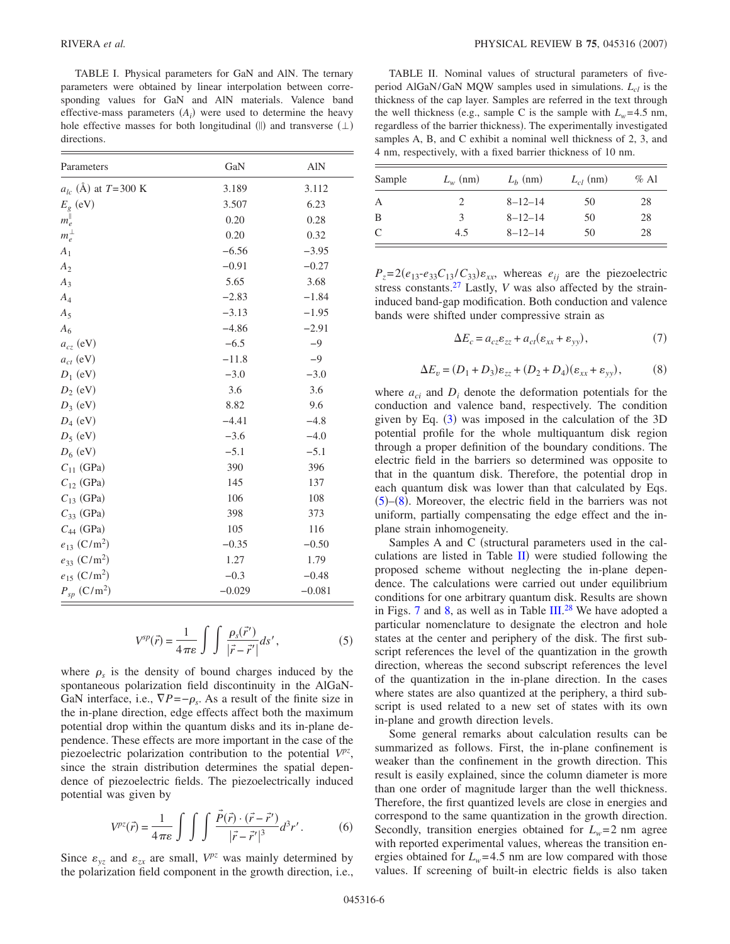<span id="page-5-0"></span>TABLE I. Physical parameters for GaN and AlN. The ternary parameters were obtained by linear interpolation between corresponding values for GaN and AlN materials. Valence band effective-mass parameters  $(A_i)$  were used to determine the heavy hole effective masses for both longitudinal  $(II)$  and transverse  $(1)$ directions.

| Parameters                   | GaN      | <b>AlN</b> |
|------------------------------|----------|------------|
| $a_{lc}$ (Å) at T=300 K      | 3.189    | 3.112      |
| $E_{g}\ (\rm eV)$            | 3.507    | 6.23       |
| $m_e^{\parallel}$            | 0.20     | 0.28       |
| $m_e^{\perp}$                | 0.20     | 0.32       |
| A <sub>1</sub>               | $-6.56$  | $-3.95$    |
| A <sub>2</sub>               | $-0.91$  | $-0.27$    |
| $A_3$                        | 5.65     | 3.68       |
| $A_4$                        | $-2.83$  | $-1.84$    |
| $A_5$                        | $-3.13$  | $-1.95$    |
| $A_6$                        | $-4.86$  | $-2.91$    |
| $a_{cz}$ (eV)                | $-6.5$   | $-9$       |
| $a_{ct}$ (eV)                | $-11.8$  | $-9$       |
| $D_1$ (eV)                   | $-3.0$   | $-3.0$     |
| $D_2$ (eV)                   | 3.6      | 3.6        |
| $D_3$ (eV)                   | 8.82     | 9.6        |
| $D_4$ (eV)                   | $-4.41$  | $-4.8$     |
| $D_5$ (eV)                   | $-3.6$   | $-4.0$     |
| $D_6$ (eV)                   | $-5.1$   | $-5.1$     |
| $C_{11}$ (GPa)               | 390      | 396        |
| $C_{12}$ (GPa)               | 145      | 137        |
| $C_{13}$ (GPa)               | 106      | 108        |
| $C_{33}$ (GPa)               | 398      | 373        |
| $C_{44}$ (GPa)               | 105      | 116        |
| $e_{13}$ (C/m <sup>2</sup> ) | $-0.35$  | $-0.50$    |
| $e_{33}$ (C/m <sup>2</sup> ) | 1.27     | 1.79       |
| $e_{15}$ (C/m <sup>2</sup> ) | $-0.3$   | $-0.48$    |
| $P_{sp}$ (C/m <sup>2</sup> ) | $-0.029$ | $-0.081$   |

$$
V^{sp}(\vec{r}) = \frac{1}{4\pi\varepsilon} \int \int \frac{\rho_s(\vec{r}')}{|\vec{r} - \vec{r}'|} ds', \qquad (5)
$$

<span id="page-5-1"></span>where  $\rho_s$  is the density of bound charges induced by the spontaneous polarization field discontinuity in the AlGaN-GaN interface, i.e.,  $\nabla P = -\rho_s$ . As a result of the finite size in the in-plane direction, edge effects affect both the maximum potential drop within the quantum disks and its in-plane dependence. These effects are more important in the case of the piezoelectric polarization contribution to the potential *Vpz*, since the strain distribution determines the spatial dependence of piezoelectric fields. The piezoelectrically induced potential was given by

$$
V^{pz}(\vec{r}) = \frac{1}{4\pi\epsilon} \int \int \int \frac{\vec{P}(\vec{r}) \cdot (\vec{r} - \vec{r}')}{|\vec{r} - \vec{r}'|^3} d^3r'.
$$
 (6)

Since  $\varepsilon_{yz}$  and  $\varepsilon_{zx}$  are small,  $V^{pz}$  was mainly determined by the polarization field component in the growth direction, i.e.,

<span id="page-5-3"></span>TABLE II. Nominal values of structural parameters of fiveperiod AlGaN/GaN MQW samples used in simulations.  $L_{cl}$  is the thickness of the cap layer. Samples are referred in the text through the well thickness (e.g., sample C is the sample with  $L_w$ =4.5 nm, regardless of the barrier thickness). The experimentally investigated samples A, B, and C exhibit a nominal well thickness of 2, 3, and 4 nm, respectively, with a fixed barrier thickness of 10 nm.

| Sample | $L_{w}$ (nm)          | $L_b$ (nm)    | $L_{cl}$ (nm) | $%$ Al |
|--------|-----------------------|---------------|---------------|--------|
| Α      | $\mathcal{D}_{\cdot}$ | $8 - 12 - 14$ | 50            | 28     |
| В      | 3                     | $8 - 12 - 14$ | 50            | 28     |
|        | 4.5                   | $8 - 12 - 14$ | 50            | 28     |

 $P_z = 2(e_{13} - e_{33}C_{13}/C_{33})\varepsilon_{xx}$ , whereas  $e_{ij}$  are the piezoelectric stress constants.<sup>27</sup> Lastly, *V* was also affected by the straininduced band-gap modification. Both conduction and valence bands were shifted under compressive strain as

$$
\Delta E_c = a_{cz}\varepsilon_{zz} + a_{ct}(\varepsilon_{xx} + \varepsilon_{yy}),\tag{7}
$$

$$
\Delta E_v = (D_1 + D_3)\varepsilon_{zz} + (D_2 + D_4)(\varepsilon_{xx} + \varepsilon_{yy}),\tag{8}
$$

<span id="page-5-2"></span>where  $a_{ci}$  and  $D_i$  denote the deformation potentials for the conduction and valence band, respectively. The condition given by Eq. ([3](#page-4-1)) was imposed in the calculation of the 3D potential profile for the whole multiquantum disk region through a proper definition of the boundary conditions. The electric field in the barriers so determined was opposite to that in the quantum disk. Therefore, the potential drop in each quantum disk was lower than that calculated by Eqs.  $(5)$  $(5)$  $(5)$ – $(8)$  $(8)$  $(8)$ . Moreover, the electric field in the barriers was not uniform, partially compensating the edge effect and the inplane strain inhomogeneity.

Samples A and C (structural parameters used in the calculations are listed in Table  $II$ ) were studied following the proposed scheme without neglecting the in-plane dependence. The calculations were carried out under equilibrium conditions for one arbitrary quantum disk. Results are shown in Figs. [7](#page-6-0) and [8,](#page-7-0) as well as in Table  $III.^{28}$  $III.^{28}$  $III.^{28}$  $III.^{28}$  We have adopted a particular nomenclature to designate the electron and hole states at the center and periphery of the disk. The first subscript references the level of the quantization in the growth direction, whereas the second subscript references the level of the quantization in the in-plane direction. In the cases where states are also quantized at the periphery, a third subscript is used related to a new set of states with its own in-plane and growth direction levels.

Some general remarks about calculation results can be summarized as follows. First, the in-plane confinement is weaker than the confinement in the growth direction. This result is easily explained, since the column diameter is more than one order of magnitude larger than the well thickness. Therefore, the first quantized levels are close in energies and correspond to the same quantization in the growth direction. Secondly, transition energies obtained for  $L_w = 2$  nm agree with reported experimental values, whereas the transition energies obtained for  $L<sub>w</sub>=4.5$  nm are low compared with those values. If screening of built-in electric fields is also taken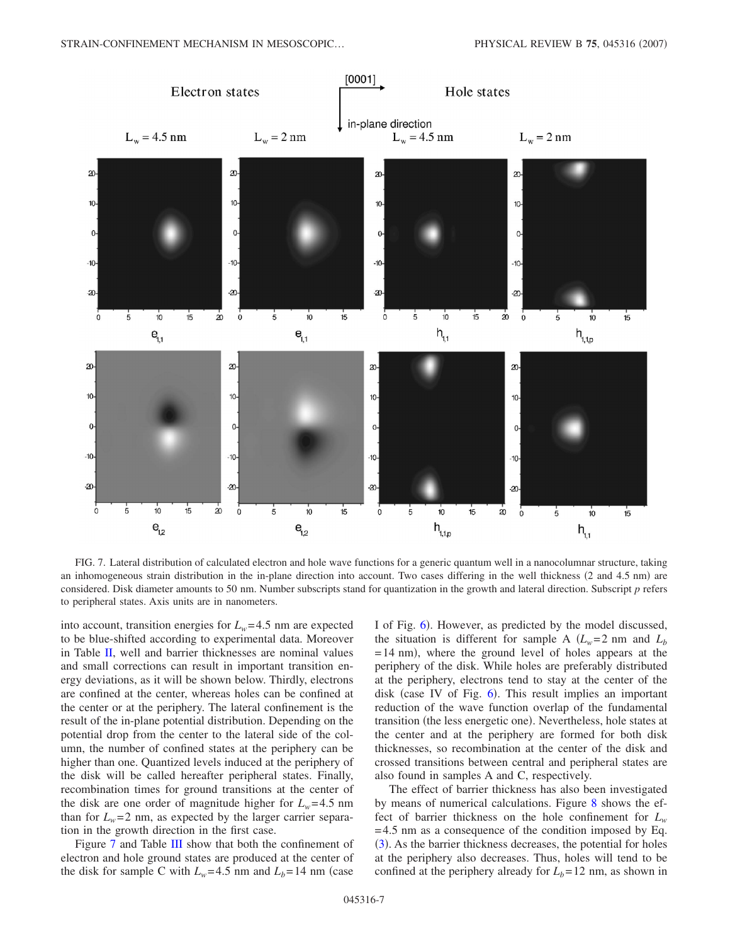<span id="page-6-0"></span>

FIG. 7. Lateral distribution of calculated electron and hole wave functions for a generic quantum well in a nanocolumnar structure, taking an inhomogeneous strain distribution in the in-plane direction into account. Two cases differing in the well thickness (2 and 4.5 nm) are considered. Disk diameter amounts to 50 nm. Number subscripts stand for quantization in the growth and lateral direction. Subscript *p* refers to peripheral states. Axis units are in nanometers.

into account, transition energies for  $L<sub>w</sub>=4.5$  nm are expected to be blue-shifted according to experimental data. Moreover in Table [II,](#page-5-3) well and barrier thicknesses are nominal values and small corrections can result in important transition energy deviations, as it will be shown below. Thirdly, electrons are confined at the center, whereas holes can be confined at the center or at the periphery. The lateral confinement is the result of the in-plane potential distribution. Depending on the potential drop from the center to the lateral side of the column, the number of confined states at the periphery can be higher than one. Quantized levels induced at the periphery of the disk will be called hereafter peripheral states. Finally, recombination times for ground transitions at the center of the disk are one order of magnitude higher for  $L_w$ =4.5 nm than for  $L_w = 2$  nm, as expected by the larger carrier separation in the growth direction in the first case.

Figure [7](#page-6-0) and Table [III](#page-7-1) show that both the confinement of electron and hole ground states are produced at the center of the disk for sample C with  $L_w$ =4.5 nm and  $L_b$ =14 nm (case

I of Fig. [6](#page-4-0)). However, as predicted by the model discussed, the situation is different for sample A  $(L_w=2$  nm and  $L_b$  $= 14$  nm), where the ground level of holes appears at the periphery of the disk. While holes are preferably distributed at the periphery, electrons tend to stay at the center of the disk (case IV of Fig. [6](#page-4-0)). This result implies an important reduction of the wave function overlap of the fundamental transition (the less energetic one). Nevertheless, hole states at the center and at the periphery are formed for both disk thicknesses, so recombination at the center of the disk and crossed transitions between central and peripheral states are also found in samples A and C, respectively.

The effect of barrier thickness has also been investigated by means of numerical calculations. Figure [8](#page-7-0) shows the effect of barrier thickness on the hole confinement for  $L_w$ =4.5 nm as a consequence of the condition imposed by Eq. ([3](#page-4-1)). As the barrier thickness decreases, the potential for holes at the periphery also decreases. Thus, holes will tend to be confined at the periphery already for  $L_b$ =12 nm, as shown in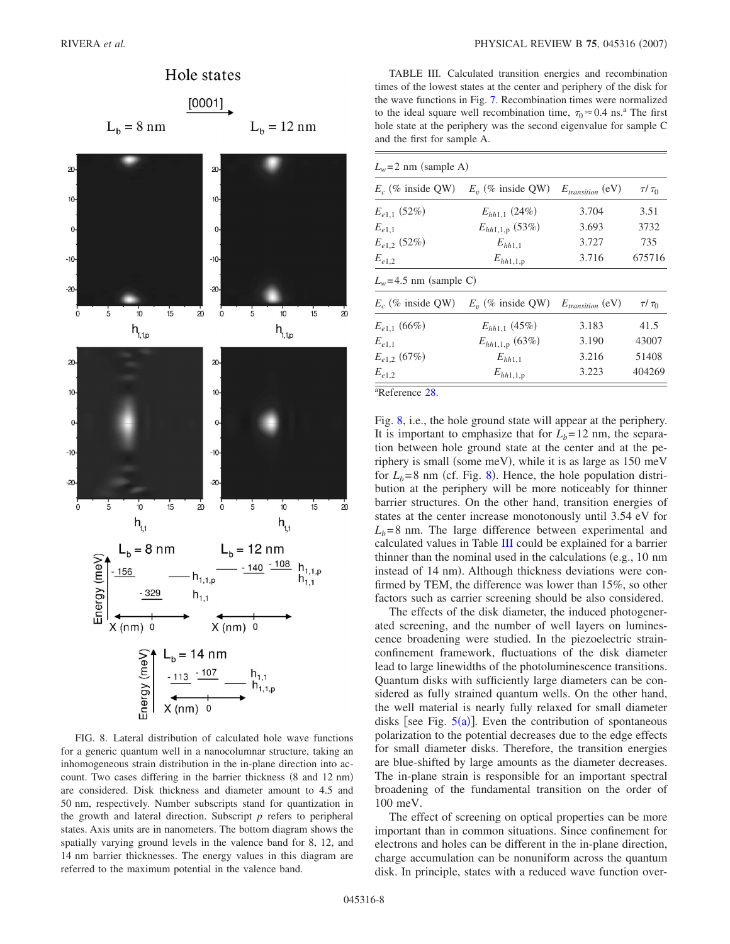<span id="page-7-0"></span>

FIG. 8. Lateral distribution of calculated hole wave functions for a generic quantum well in a nanocolumnar structure, taking an inhomogeneous strain distribution in the in-plane direction into account. Two cases differing in the barrier thickness (8 and 12 nm) are considered. Disk thickness and diameter amount to 4.5 and 50 nm, respectively. Number subscripts stand for quantization in the growth and lateral direction. Subscript *p* refers to peripheral states. Axis units are in nanometers. The bottom diagram shows the spatially varying ground levels in the valence band for 8, 12, and 14 nm barrier thicknesses. The energy values in this diagram are referred to the maximum potential in the valence band.

<span id="page-7-1"></span>TABLE III. Calculated transition energies and recombination times of the lowest states at the center and periphery of the disk for the wave functions in Fig. [7.](#page-6-0) Recombination times were normalized to the ideal square well recombination time,  $\tau_0 \approx 0.4$  ns.<sup>a</sup> The first hole state at the periphery was the second eigenvalue for sample C and the first for sample A.

| $L_w$ =2 nm (sample A)     |                     |                       |               |
|----------------------------|---------------------|-----------------------|---------------|
| $E_c$ (% inside QW)        | $E_n$ (% inside QW) | $E_{transition}$ (eV) | $\tau/\tau_0$ |
| $E_{e1,1}$ (52%)           | $E_{hh1,1}$ (24%)   | 3.704                 | 3.51          |
| $E_{e1,1}$                 | $E_{hh1,1,p}$ (53%) | 3.693                 | 3732          |
| $E_{e1,2}$ (52%)           | $E_{hh1,1}$         | 3.727                 | 735           |
| $E_{e1,2}$                 | $E_{hh1,1,p}$       | 3.716                 | 675716        |
| $L_w$ =4.5 nm (sample C)   |                     |                       |               |
| $E_c$ (% inside QW)        | $E_n$ (% inside QW) | $E_{transition}$ (eV) | $\tau/\tau_0$ |
| $E_{e1,1}$ (66%)           | $E_{hh1,1}$ (45%)   | 3.183                 | 41.5          |
| $E_{e1,1}$                 | $E_{hh1,1,p}$ (63%) | 3.190                 | 43007         |
| $E_{e1,2}$ (67%)           | $E_{hh1,1}$         | 3.216                 | 51408         |
| $E_{e1,2}$                 | $E_{hh1,1,p}$       | 3.223                 | 404269        |
| <sup>a</sup> Reference 28. |                     |                       |               |

Fig. [8,](#page-7-0) i.e., the hole ground state will appear at the periphery. It is important to emphasize that for  $L_b=12$  nm, the separation between hole ground state at the center and at the periphery is small (some meV), while it is as large as 150 meV for  $L_b = 8$  $L_b = 8$  nm (cf. Fig. 8). Hence, the hole population distribution at the periphery will be more noticeably for thinner barrier structures. On the other hand, transition energies of states at the center increase monotonously until 3.54 eV for  $L_b$ =8 nm. The large difference between experimental and calculated values in Table [III](#page-7-1) could be explained for a barrier thinner than the nominal used in the calculations  $(e.g., 10 \text{ nm})$ instead of 14 nm). Although thickness deviations were confirmed by TEM, the difference was lower than 15%, so other factors such as carrier screening should be also considered.

The effects of the disk diameter, the induced photogenerated screening, and the number of well layers on luminescence broadening were studied. In the piezoelectric strainconfinement framework, fluctuations of the disk diameter lead to large linewidths of the photoluminescence transitions. Quantum disks with sufficiently large diameters can be considered as fully strained quantum wells. On the other hand, the well material is nearly fully relaxed for small diameter disks [see Fig.  $5(a)$  $5(a)$ ]. Even the contribution of spontaneous polarization to the potential decreases due to the edge effects for small diameter disks. Therefore, the transition energies are blue-shifted by large amounts as the diameter decreases. The in-plane strain is responsible for an important spectral broadening of the fundamental transition on the order of 100 meV.

The effect of screening on optical properties can be more important than in common situations. Since confinement for electrons and holes can be different in the in-plane direction, charge accumulation can be nonuniform across the quantum disk. In principle, states with a reduced wave function over-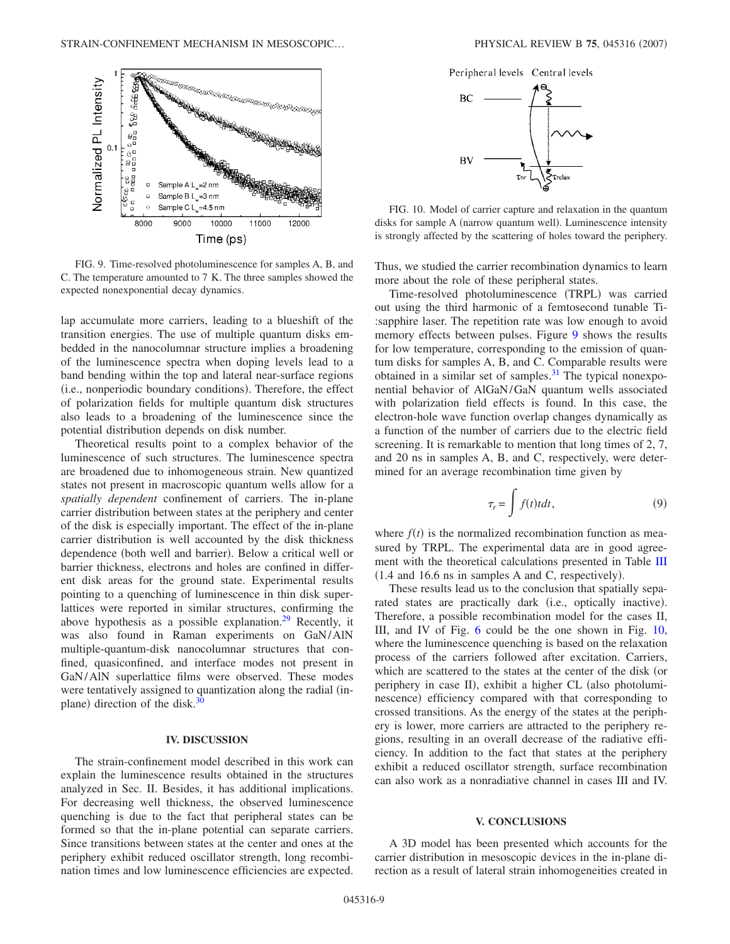<span id="page-8-0"></span>

FIG. 9. Time-resolved photoluminescence for samples A, B, and C. The temperature amounted to 7 K. The three samples showed the expected nonexponential decay dynamics.

lap accumulate more carriers, leading to a blueshift of the transition energies. The use of multiple quantum disks embedded in the nanocolumnar structure implies a broadening of the luminescence spectra when doping levels lead to a band bending within the top and lateral near-surface regions (i.e., nonperiodic boundary conditions). Therefore, the effect of polarization fields for multiple quantum disk structures also leads to a broadening of the luminescence since the potential distribution depends on disk number.

Theoretical results point to a complex behavior of the luminescence of such structures. The luminescence spectra are broadened due to inhomogeneous strain. New quantized states not present in macroscopic quantum wells allow for a *spatially dependent* confinement of carriers. The in-plane carrier distribution between states at the periphery and center of the disk is especially important. The effect of the in-plane carrier distribution is well accounted by the disk thickness dependence (both well and barrier). Below a critical well or barrier thickness, electrons and holes are confined in different disk areas for the ground state. Experimental results pointing to a quenching of luminescence in thin disk superlattices were reported in similar structures, confirming the above hypothesis as a possible explanation.<sup>29</sup> Recently, it was also found in Raman experiments on GaN/AlN multiple-quantum-disk nanocolumnar structures that confined, quasiconfined, and interface modes not present in GaN/AlN superlattice films were observed. These modes were tentatively assigned to quantization along the radial (inplane) direction of the disk.<sup>30</sup>

#### **IV. DISCUSSION**

The strain-confinement model described in this work can explain the luminescence results obtained in the structures analyzed in Sec. II. Besides, it has additional implications. For decreasing well thickness, the observed luminescence quenching is due to the fact that peripheral states can be formed so that the in-plane potential can separate carriers. Since transitions between states at the center and ones at the periphery exhibit reduced oscillator strength, long recombination times and low luminescence efficiencies are expected.

<span id="page-8-1"></span>



FIG. 10. Model of carrier capture and relaxation in the quantum disks for sample A (narrow quantum well). Luminescence intensity is strongly affected by the scattering of holes toward the periphery.

Thus, we studied the carrier recombination dynamics to learn more about the role of these peripheral states.

Time-resolved photoluminescence (TRPL) was carried out using the third harmonic of a femtosecond tunable Ti- :sapphire laser. The repetition rate was low enough to avoid memory effects between pulses. Figure [9](#page-8-0) shows the results for low temperature, corresponding to the emission of quantum disks for samples A, B, and C. Comparable results were obtained in a similar set of samples. $31$  The typical nonexponential behavior of AlGaN/GaN quantum wells associated with polarization field effects is found. In this case, the electron-hole wave function overlap changes dynamically as a function of the number of carriers due to the electric field screening. It is remarkable to mention that long times of 2, 7, and 20 ns in samples A, B, and C, respectively, were determined for an average recombination time given by

$$
\tau_r = \int f(t)t dt,
$$
\n(9)

where  $f(t)$  is the normalized recombination function as measured by TRPL. The experimental data are in good agreement with the theoretical calculations presented in Table [III](#page-7-1) (1.4 and 16.6 ns in samples A and C, respectively).

These results lead us to the conclusion that spatially separated states are practically dark (i.e., optically inactive). Therefore, a possible recombination model for the cases II, III, and IV of Fig. [6](#page-4-0) could be the one shown in Fig. [10,](#page-8-1) where the luminescence quenching is based on the relaxation process of the carriers followed after excitation. Carriers, which are scattered to the states at the center of the disk (or periphery in case II), exhibit a higher CL (also photoluminescence) efficiency compared with that corresponding to crossed transitions. As the energy of the states at the periphery is lower, more carriers are attracted to the periphery regions, resulting in an overall decrease of the radiative efficiency. In addition to the fact that states at the periphery exhibit a reduced oscillator strength, surface recombination can also work as a nonradiative channel in cases III and IV.

#### **V. CONCLUSIONS**

A 3D model has been presented which accounts for the carrier distribution in mesoscopic devices in the in-plane direction as a result of lateral strain inhomogeneities created in